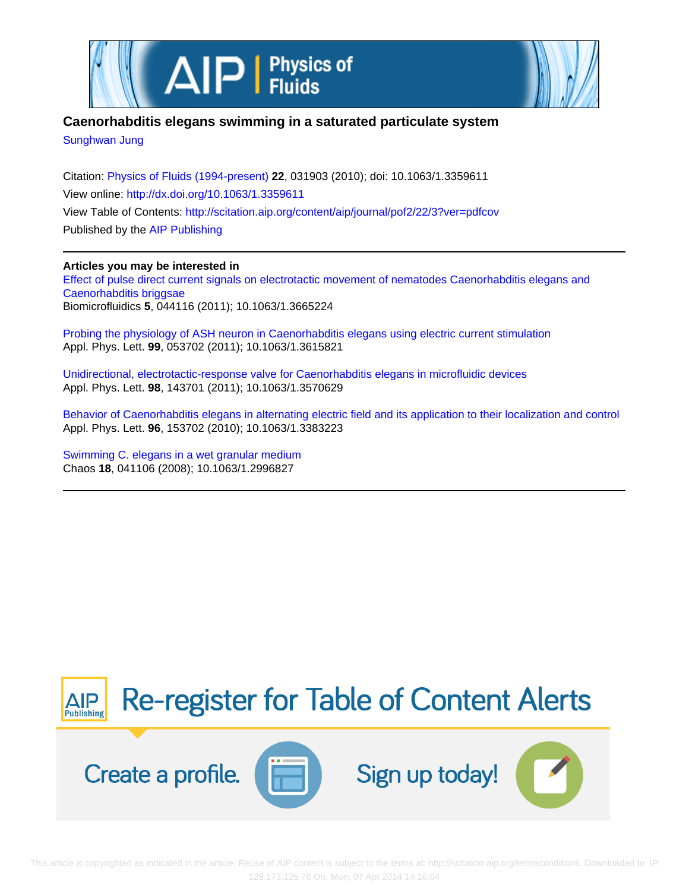



# **Caenorhabditis elegans swimming in a saturated particulate system**

[Sunghwan Jung](http://scitation.aip.org/search?value1=Sunghwan+Jung&option1=author)

Citation: [Physics of Fluids \(1994-present\)](http://scitation.aip.org/content/aip/journal/pof2?ver=pdfcov) **22**, 031903 (2010); doi: 10.1063/1.3359611 View online: <http://dx.doi.org/10.1063/1.3359611> View Table of Contents: <http://scitation.aip.org/content/aip/journal/pof2/22/3?ver=pdfcov> Published by the [AIP Publishing](http://scitation.aip.org/content/aip?ver=pdfcov)

# **Articles you may be interested in**

[Effect of pulse direct current signals on electrotactic movement of nematodes Caenorhabditis elegans and](http://scitation.aip.org/content/aip/journal/bmf/5/4/10.1063/1.3665224?ver=pdfcov) [Caenorhabditis briggsae](http://scitation.aip.org/content/aip/journal/bmf/5/4/10.1063/1.3665224?ver=pdfcov) Biomicrofluidics **5**, 044116 (2011); 10.1063/1.3665224

[Probing the physiology of ASH neuron in Caenorhabditis elegans using electric current stimulation](http://scitation.aip.org/content/aip/journal/apl/99/5/10.1063/1.3615821?ver=pdfcov) Appl. Phys. Lett. **99**, 053702 (2011); 10.1063/1.3615821

[Unidirectional, electrotactic-response valve for Caenorhabditis elegans in microfluidic devices](http://scitation.aip.org/content/aip/journal/apl/98/14/10.1063/1.3570629?ver=pdfcov) Appl. Phys. Lett. **98**, 143701 (2011); 10.1063/1.3570629

[Behavior of Caenorhabditis elegans in alternating electric field and its application to their localization and control](http://scitation.aip.org/content/aip/journal/apl/96/15/10.1063/1.3383223?ver=pdfcov) Appl. Phys. Lett. **96**, 153702 (2010); 10.1063/1.3383223

[Swimming C. elegans in a wet granular medium](http://scitation.aip.org/content/aip/journal/chaos/18/4/10.1063/1.2996827?ver=pdfcov) Chaos **18**, 041106 (2008); 10.1063/1.2996827

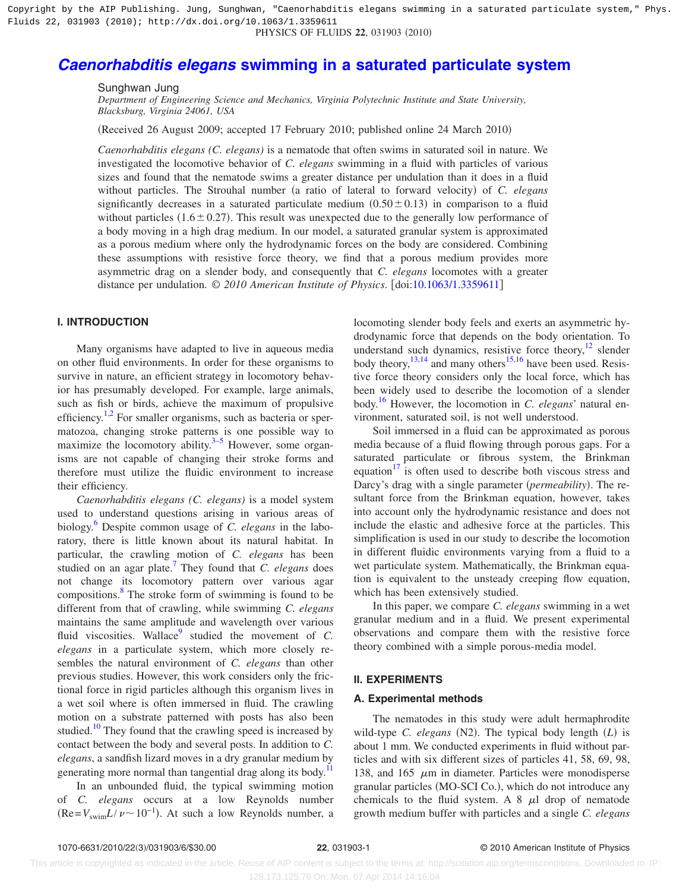Copyright by the AIP Publishing. Jung, Sunghwan, "Caenorhabditis elegans swimming in a saturated particulate system," Phys. Fluids 22, 031903 (2010); http://dx.doi.org/10.1063/1.3359611

# PHYSICS OF FLUIDS 22, 031903 (2010)

# *Caenorhabditis elegans* **[swimming in a saturated particulate system](http://dx.doi.org/10.1063/1.3359611)**

Sunghwan Jung

*Department of Engineering Science and Mechanics, Virginia Polytechnic Institute and State University, Blacksburg, Virginia 24061, USA*

(Received 26 August 2009; accepted 17 February 2010; published online 24 March 2010)

*Caenorhabditis elegans (C. elegans)* is a nematode that often swims in saturated soil in nature. We investigated the locomotive behavior of *C. elegans* swimming in a fluid with particles of various sizes and found that the nematode swims a greater distance per undulation than it does in a fluid without particles. The Strouhal number (a ratio of lateral to forward velocity) of *C. elegans* significantly decreases in a saturated particulate medium  $(0.50 \pm 0.13)$  in comparison to a fluid without particles  $(1.6 \pm 0.27)$ . This result was unexpected due to the generally low performance of a body moving in a high drag medium. In our model, a saturated granular system is approximated as a porous medium where only the hydrodynamic forces on the body are considered. Combining these assumptions with resistive force theory, we find that a porous medium provides more asymmetric drag on a slender body, and consequently that *C. elegans* locomotes with a greater distance per undulation. © *2010 American Institute of Physics*. doi[:10.1063/1.3359611](http://dx.doi.org/10.1063/1.3359611)

# **I. INTRODUCTION**

Many organisms have adapted to live in aqueous media on other fluid environments. In order for these organisms to survive in nature, an efficient strategy in locomotory behavior has presumably developed. For example, large animals, such as fish or birds, achieve the maximum of propulsive efficiency.<sup>1[,2](#page-5-1)</sup> For smaller organisms, such as bacteria or spermatozoa, changing stroke patterns is one possible way to maximize the locomotory ability. $3-5$  $3-5$  However, some organisms are not capable of changing their stroke forms and therefore must utilize the fluidic environment to increase their efficiency.

*Caenorhabditis elegans (C. elegans)* is a model system used to understand questions arising in various areas of biology[.6](#page-5-4) Despite common usage of *C. elegans* in the laboratory, there is little known about its natural habitat. In particular, the crawling motion of *C. elegans* has been studied on an agar plate[.7](#page-5-5) They found that *C. elegans* does not change its locomotory pattern over various agar compositions. $\frac{8}{3}$  The stroke form of swimming is found to be different from that of crawling, while swimming *C. elegans* maintains the same amplitude and wavelength over various fluid viscosities. Wallace<sup>9</sup> studied the movement of  $C$ . *elegans* in a particulate system, which more closely resembles the natural environment of *C. elegans* than other previous studies. However, this work considers only the frictional force in rigid particles although this organism lives in a wet soil where is often immersed in fluid. The crawling motion on a substrate patterned with posts has also been studied.<sup>10</sup> They found that the crawling speed is increased by contact between the body and several posts. In addition to *C. elegans*, a sandfish lizard moves in a dry granular medium by generating more normal than tangential drag along its body.<sup>11</sup>

In an unbounded fluid, the typical swimming motion of *C. elegans* occurs at a low Reynolds number  $(Re=V<sub>swim</sub>L/v \sim 10^{-1})$ . At such a low Reynolds number, a

locomoting slender body feels and exerts an asymmetric hydrodynamic force that depends on the body orientation. To understand such dynamics, resistive force theory, $12$  slender body theory,  $^{13,14}$  $^{13,14}$  $^{13,14}$  and many others<sup>15,[16](#page-6-1)</sup> have been used. Resistive force theory considers only the local force, which has been widely used to describe the locomotion of a slender body[.16](#page-6-1) However, the locomotion in *C. elegans*' natural environment, saturated soil, is not well understood.

Soil immersed in a fluid can be approximated as porous media because of a fluid flowing through porous gaps. For a saturated particulate or fibrous system, the Brinkman equation $17$  is often used to describe both viscous stress and Darcy's drag with a single parameter (permeability). The resultant force from the Brinkman equation, however, takes into account only the hydrodynamic resistance and does not include the elastic and adhesive force at the particles. This simplification is used in our study to describe the locomotion in different fluidic environments varying from a fluid to a wet particulate system. Mathematically, the Brinkman equation is equivalent to the unsteady creeping flow equation, which has been extensively studied.

In this paper, we compare *C. elegans* swimming in a wet granular medium and in a fluid. We present experimental observations and compare them with the resistive force theory combined with a simple porous-media model.

# **II. EXPERIMENTS**

# **A. Experimental methods**

The nematodes in this study were adult hermaphrodite wild-type *C. elegans* (N2). The typical body length (L) is about 1 mm. We conducted experiments in fluid without particles and with six different sizes of particles 41, 58, 69, 98, 138, and 165  $\mu$ m in diameter. Particles were monodisperse granular particles (MO-SCI Co.), which do not introduce any chemicals to the fluid system. A  $8 \mu l$  drop of nematode growth medium buffer with particles and a single *C. elegans*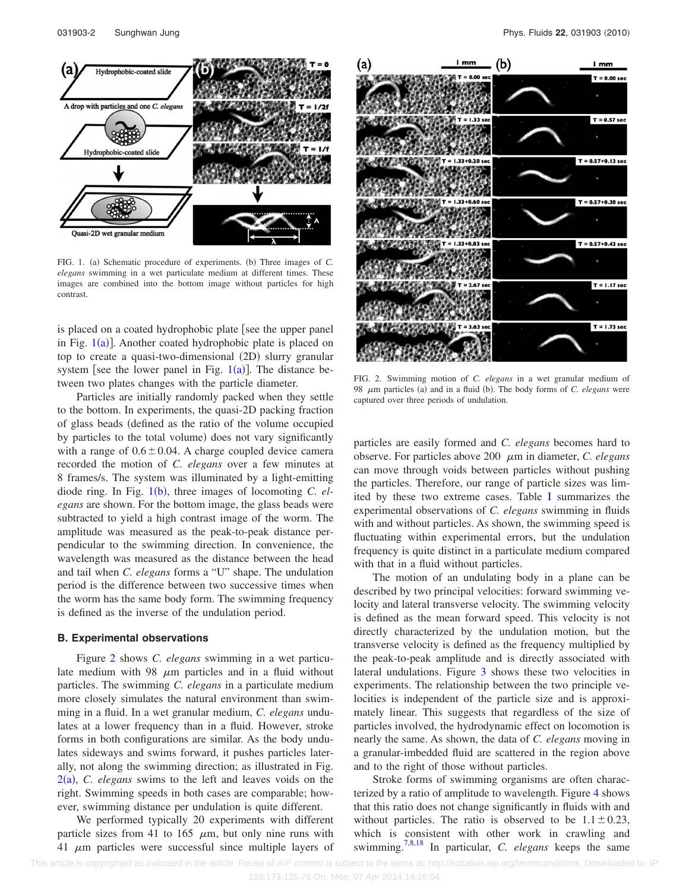<span id="page-2-0"></span>

FIG. 1. (a) Schematic procedure of experiments. (b) Three images of *C*. *elegans* swimming in a wet particulate medium at different times. These images are combined into the bottom image without particles for high contrast.

is placed on a coated hydrophobic plate [see the upper panel in Fig.  $1(a)$  $1(a)$ ]. Another coated hydrophobic plate is placed on top to create a quasi-two-dimensional (2D) slurry granular system [see the lower panel in Fig.  $1(a)$  $1(a)$ ]. The distance between two plates changes with the particle diameter.

Particles are initially randomly packed when they settle to the bottom. In experiments, the quasi-2D packing fraction of glass beads defined as the ratio of the volume occupied by particles to the total volume) does not vary significantly with a range of  $0.6 \pm 0.04$ . A charge coupled device camera recorded the motion of *C. elegans* over a few minutes at 8 frames/s. The system was illuminated by a light-emitting diode ring. In Fig. [1](#page-2-0)(b), three images of locomoting *C. elegans* are shown. For the bottom image, the glass beads were subtracted to yield a high contrast image of the worm. The amplitude was measured as the peak-to-peak distance perpendicular to the swimming direction. In convenience, the wavelength was measured as the distance between the head and tail when *C. elegans* forms a "U" shape. The undulation period is the difference between two successive times when the worm has the same body form. The swimming frequency is defined as the inverse of the undulation period.

#### **B. Experimental observations**

Figure [2](#page-2-1) shows *C. elegans* swimming in a wet particulate medium with 98  $\mu$ m particles and in a fluid without particles. The swimming *C. elegans* in a particulate medium more closely simulates the natural environment than swimming in a fluid. In a wet granular medium, *C. elegans* undulates at a lower frequency than in a fluid. However, stroke forms in both configurations are similar. As the body undulates sideways and swims forward, it pushes particles laterally, not along the swimming direction; as illustrated in Fig.  $2(a)$  $2(a)$ , *C. elegans* swims to the left and leaves voids on the right. Swimming speeds in both cases are comparable; however, swimming distance per undulation is quite different.

We performed typically 20 experiments with different particle sizes from 41 to 165  $\mu$ m, but only nine runs with 41  $\mu$ m particles were successful since multiple layers of

<span id="page-2-1"></span>

FIG. 2. Swimming motion of *C. elegans* in a wet granular medium of 98  $\mu$ m particles (a) and in a fluid (b). The body forms of *C. elegans* were captured over three periods of undulation.

particles are easily formed and *C. elegans* becomes hard to observe. For particles above 200 m in diameter, *C. elegans* can move through voids between particles without pushing the particles. Therefore, our range of particle sizes was limited by these two extreme cases. Table [I](#page-3-0) summarizes the experimental observations of *C. elegans* swimming in fluids with and without particles. As shown, the swimming speed is fluctuating within experimental errors, but the undulation frequency is quite distinct in a particulate medium compared with that in a fluid without particles.

The motion of an undulating body in a plane can be described by two principal velocities: forward swimming velocity and lateral transverse velocity. The swimming velocity is defined as the mean forward speed. This velocity is not directly characterized by the undulation motion, but the transverse velocity is defined as the frequency multiplied by the peak-to-peak amplitude and is directly associated with lateral undulations. Figure [3](#page-3-1) shows these two velocities in experiments. The relationship between the two principle velocities is independent of the particle size and is approximately linear. This suggests that regardless of the size of particles involved, the hydrodynamic effect on locomotion is nearly the same. As shown, the data of *C. elegans* moving in a granular-imbedded fluid are scattered in the region above and to the right of those without particles.

Stroke forms of swimming organisms are often characterized by a ratio of amplitude to wavelength. Figure [4](#page-3-2) shows that this ratio does not change significantly in fluids with and without particles. The ratio is observed to be  $1.1 \pm 0.23$ , which is consistent with other work in crawling and swimming[.7,](#page-5-5)[8,](#page-5-6)[18](#page-6-3) In particular, *C. elegans* keeps the same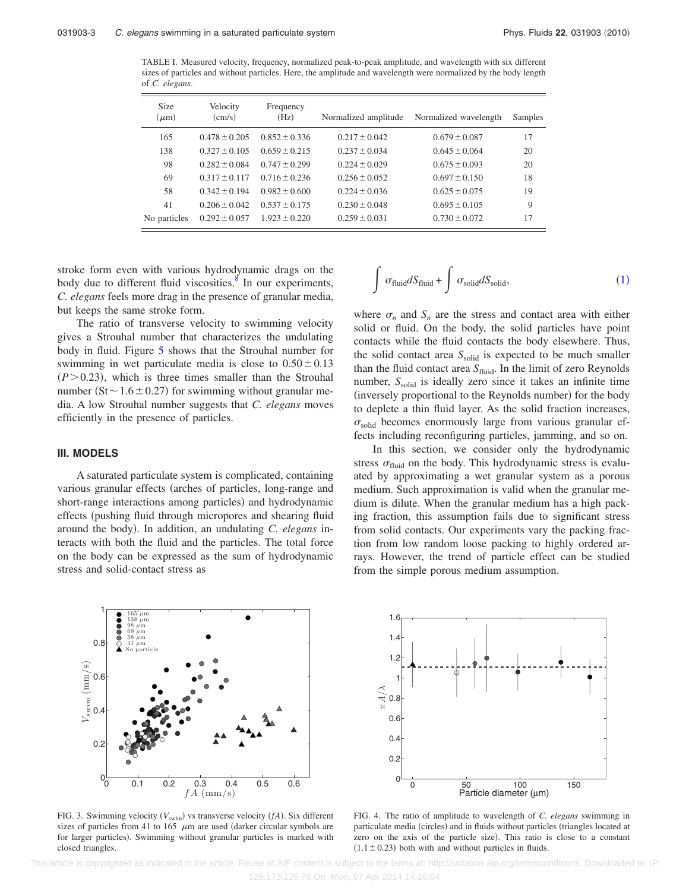<span id="page-3-0"></span>TABLE I. Measured velocity, frequency, normalized peak-to-peak amplitude, and wavelength with six different sizes of particles and without particles. Here, the amplitude and wavelength were normalized by the body length of *C. elegans*.

| <b>Size</b><br>$(\mu m)$ | Velocity<br>(cm/s) | Frequency<br>(Hz) | Normalized amplitude | Normalized wavelength | Samples |
|--------------------------|--------------------|-------------------|----------------------|-----------------------|---------|
| 165                      | $0.478 \pm 0.205$  | $0.852 \pm 0.336$ | $0.217 \pm 0.042$    | $0.679 \pm 0.087$     | 17      |
| 138                      | $0.327 \pm 0.105$  | $0.659 \pm 0.215$ | $0.237 \pm 0.034$    | $0.645 \pm 0.064$     | 20      |
| 98                       | $0.282 \pm 0.084$  | $0.747 \pm 0.299$ | $0.224 \pm 0.029$    | $0.675 \pm 0.093$     | 20      |
| 69                       | $0.317 \pm 0.117$  | $0.716 \pm 0.236$ | $0.256 \pm 0.052$    | $0.697 \pm 0.150$     | 18      |
| 58                       | $0.342 \pm 0.194$  | $0.982 \pm 0.600$ | $0.224 \pm 0.036$    | $0.625 \pm 0.075$     | 19      |
| 41                       | $0.206 \pm 0.042$  | $0.537 + 0.175$   | $0.230 \pm 0.048$    | $0.695 \pm 0.105$     | 9       |
| No particles             | $0.292 \pm 0.057$  | $1.923 \pm 0.220$ | $0.259 \pm 0.031$    | $0.730 \pm 0.072$     | 17      |

stroke form even with various hydrodynamic drags on the body due to different fluid viscosities. $\delta$  In our experiments, *C. elegans* feels more drag in the presence of granular media, but keeps the same stroke form.

The ratio of transverse velocity to swimming velocity gives a Strouhal number that characterizes the undulating body in fluid. Figure [5](#page-4-0) shows that the Strouhal number for swimming in wet particulate media is close to  $0.50 \pm 0.13$  $(P > 0.23)$ , which is three times smaller than the Strouhal number ( $St \sim 1.6 \pm 0.27$ ) for swimming without granular media. A low Strouhal number suggests that *C. elegans* moves efficiently in the presence of particles.

# **III. MODELS**

A saturated particulate system is complicated, containing various granular effects (arches of particles, long-range and short-range interactions among particles) and hydrodynamic effects (pushing fluid through micropores and shearing fluid around the body). In addition, an undulating *C. elegans* interacts with both the fluid and the particles. The total force on the body can be expressed as the sum of hydrodynamic stress and solid-contact stress as

<span id="page-3-3"></span>

where  $\sigma_n$  and  $S_n$  are the stress and contact area with either solid or fluid. On the body, the solid particles have point contacts while the fluid contacts the body elsewhere. Thus, the solid contact area S<sub>solid</sub> is expected to be much smaller than the fluid contact area  $S_{\text{fluid}}$ . In the limit of zero Reynolds number,  $S_{solid}$  is ideally zero since it takes an infinite time (inversely proportional to the Reynolds number) for the body to deplete a thin fluid layer. As the solid fraction increases,  $\sigma_{\text{solid}}$  becomes enormously large from various granular effects including reconfiguring particles, jamming, and so on.

In this section, we consider only the hydrodynamic stress  $\sigma_{\text{fluid}}$  on the body. This hydrodynamic stress is evaluated by approximating a wet granular system as a porous medium. Such approximation is valid when the granular medium is dilute. When the granular medium has a high packing fraction, this assumption fails due to significant stress from solid contacts. Our experiments vary the packing fraction from low random loose packing to highly ordered arrays. However, the trend of particle effect can be studied from the simple porous medium assumption.

<span id="page-3-1"></span>

FIG. 3. Swimming velocity  $(V_{\text{swim}})$  vs transverse velocity  $(fA)$ . Six different sizes of particles from 41 to 165  $\mu$ m are used (darker circular symbols are for larger particles). Swimming without granular particles is marked with closed triangles.

<span id="page-3-2"></span>

FIG. 4. The ratio of amplitude to wavelength of *C. elegans* swimming in particulate media (circles) and in fluids without particles (triangles located at zero on the axis of the particle size). This ratio is close to a constant  $(1.1 \pm 0.23)$  both with and without particles in fluids.

 This article is copyrighted as indicated in the article. Reuse of AIP content is subject to the terms at: http://scitation.aip.org/termsconditions. Downloaded to IP: 128.173.125.76 On: Mon, 07 Apr 2014 14:16:04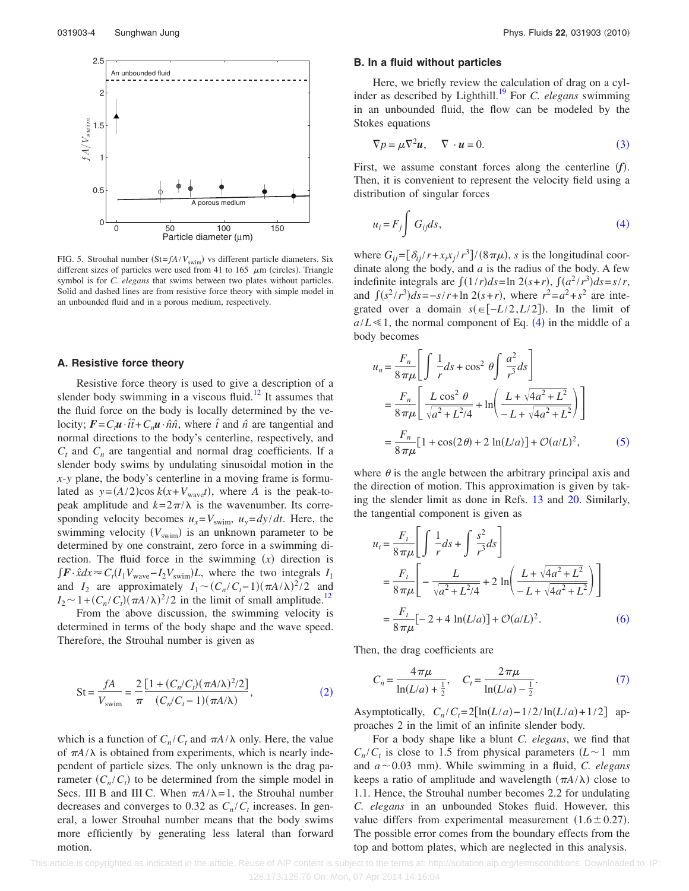<span id="page-4-0"></span>

FIG. 5. Strouhal number  $(St = fA/V_{\text{swim}})$  vs different particle diameters. Six different sizes of particles were used from 41 to 165  $\mu$ m (circles). Triangle symbol is for *C. elegans* that swims between two plates without particles. Solid and dashed lines are from resistive force theory with simple model in an unbounded fluid and in a porous medium, respectively.

# **A. Resistive force theory**

Resistive force theory is used to give a description of a slender body swimming in a viscous fluid.<sup>12</sup> It assumes that the fluid force on the body is locally determined by the velocity;  $\vec{F} = C_t \vec{u} \cdot \hat{t} + C_n \vec{u} \cdot \hat{n} \hat{n}$ , where  $\hat{t}$  and  $\hat{n}$  are tangential and normal directions to the body's centerline, respectively, and  $C_t$  and  $C_n$  are tangential and normal drag coefficients. If a slender body swims by undulating sinusoidal motion in the *x*-*y* plane, the body's centerline in a moving frame is formulated as  $y = (A/2)\cos k(x + V_{wave}t)$ , where *A* is the peak-topeak amplitude and  $k = 2\pi/\lambda$  is the wavenumber. Its corresponding velocity becomes  $u_x = V_{\text{swim}}$ ,  $u_y = dy/dt$ . Here, the swimming velocity (V<sub>swim</sub>) is an unknown parameter to be determined by one constraint, zero force in a swimming direction. The fluid force in the swimming  $(x)$  direction is  $\int \mathbf{F} \cdot \hat{x} dx \approx C_t (I_1 V_{\text{wave}} - I_2 V_{\text{swim}}) L$ , where the two integrals  $I_1$ and *I*<sub>2</sub> are approximately  $I_1 \sim (C_n/C_t - 1)(\pi A/\lambda)^2/2$  and  $I_2 \sim 1 + (C_n/C_t)(\pi A/\lambda)^2/2$  in the limit of small amplitude.<sup>12</sup>

From the above discussion, the swimming velocity is determined in terms of the body shape and the wave speed. Therefore, the Strouhal number is given as

<span id="page-4-1"></span>St = 
$$
\frac{fA}{V_{\text{swim}}} = \frac{2}{\pi} \frac{[1 + (C_n/C_t)(\pi A/\lambda)^2/2]}{(C_n/C_t - 1)(\pi A/\lambda)},
$$
 (2)

which is a function of  $C_n/C_t$  and  $\pi A/\lambda$  only. Here, the value of  $\pi A/\lambda$  is obtained from experiments, which is nearly independent of particle sizes. The only unknown is the drag parameter  $(C_n/C_t)$  to be determined from the simple model in Secs. III B and III C. When  $\pi A/\lambda = 1$ , the Strouhal number decreases and converges to 0.32 as  $C_n/C_t$  increases. In general, a lower Strouhal number means that the body swims more efficiently by generating less lateral than forward motion.

#### **B. In a fluid without particles**

Here, we briefly review the calculation of drag on a cylinder as described by Lighthill.<sup>19</sup> For *C. elegans* swimming in an unbounded fluid, the flow can be modeled by the Stokes equations

$$
\nabla p = \mu \nabla^2 u, \qquad \nabla \cdot u = 0. \tag{3}
$$

<span id="page-4-2"></span>First, we assume constant forces along the centerline  $(f)$ . Then, it is convenient to represent the velocity field using a distribution of singular forces

<span id="page-4-3"></span>
$$
u_i = F_j \int G_{ij} ds,
$$
\n(4)

where  $G_{ij} = [\delta_{ij}/r + x_i x_j / r^3] / (8 \pi \mu)$ , *s* is the longitudinal coordinate along the body, and *a* is the radius of the body. A few indefinite integrals are  $\int (1/r)ds = \ln 2(s+r)$ ,  $\int (a^2/r^3)ds = s/r$ , and  $\int (s^2/r^3)ds = -s/r + \ln 2(s+r)$ , where  $r^2 = a^2 + s^2$  are integrated over a domain  $s( \in [-L/2, L/2])$ . In the limit of  $a/L \ll 1$ , the normal component of Eq. ([4](#page-4-3)) in the middle of a body becomes

<span id="page-4-4"></span>
$$
u_n = \frac{F_n}{8\pi\mu} \left[ \int \frac{1}{r} ds + \cos^2 \theta \int \frac{a^2}{r^3} ds \right]
$$
  
=  $\frac{F_n}{8\pi\mu} \left[ \frac{L \cos^2 \theta}{\sqrt{a^2 + L^2/4}} + \ln \left( \frac{L + \sqrt{4a^2 + L^2}}{-L + \sqrt{4a^2 + L^2}} \right) \right]$   
=  $\frac{F_n}{8\pi\mu} [1 + \cos(2\theta) + 2 \ln(L/a)] + \mathcal{O}(a/L)^2,$  (5)

where  $\theta$  is the angle between the arbitrary principal axis and the direction of motion. This approximation is given by taking the slender limit as done in Refs. [13](#page-5-11) and [20.](#page-6-5) Similarly, the tangential component is given as

<span id="page-4-5"></span>
$$
u_{t} = \frac{F_{t}}{8\pi\mu} \left[ \int \frac{1}{r} ds + \int \frac{s^{2}}{r^{3}} ds \right]
$$
  
=  $\frac{F_{t}}{8\pi\mu} \left[ -\frac{L}{\sqrt{a^{2} + L^{2}/4}} + 2 \ln \left( \frac{L + \sqrt{4a^{2} + L^{2}}}{-L + \sqrt{4a^{2} + L^{2}}} \right) \right]$   
=  $\frac{F_{t}}{8\pi\mu} [-2 + 4 \ln(L/a)] + \mathcal{O}(a/L)^{2}.$  (6)

<span id="page-4-6"></span>Then, the drag coefficients are

$$
C_n = \frac{4\,\pi\mu}{\ln(L/a) + \frac{1}{2}}, \quad C_t = \frac{2\,\pi\mu}{\ln(L/a) - \frac{1}{2}}.
$$
 (7)

Asymptotically,  $C_n / C_t = 2[\ln(L/a) - 1/2 / \ln(L/a) + 1/2]$  approaches 2 in the limit of an infinite slender body.

For a body shape like a blunt *C. elegans*, we find that  $C_n/C_t$  is close to 1.5 from physical parameters  $(L \sim 1$  mm and  $a \sim 0.03$  mm). While swimming in a fluid, *C. elegans* keeps a ratio of amplitude and wavelength  $(\pi A/\lambda)$  close to 1.1. Hence, the Strouhal number becomes 2.2 for undulating *C. elegans* in an unbounded Stokes fluid. However, this value differs from experimental measurement  $(1.6 \pm 0.27)$ . The possible error comes from the boundary effects from the top and bottom plates, which are neglected in this analysis.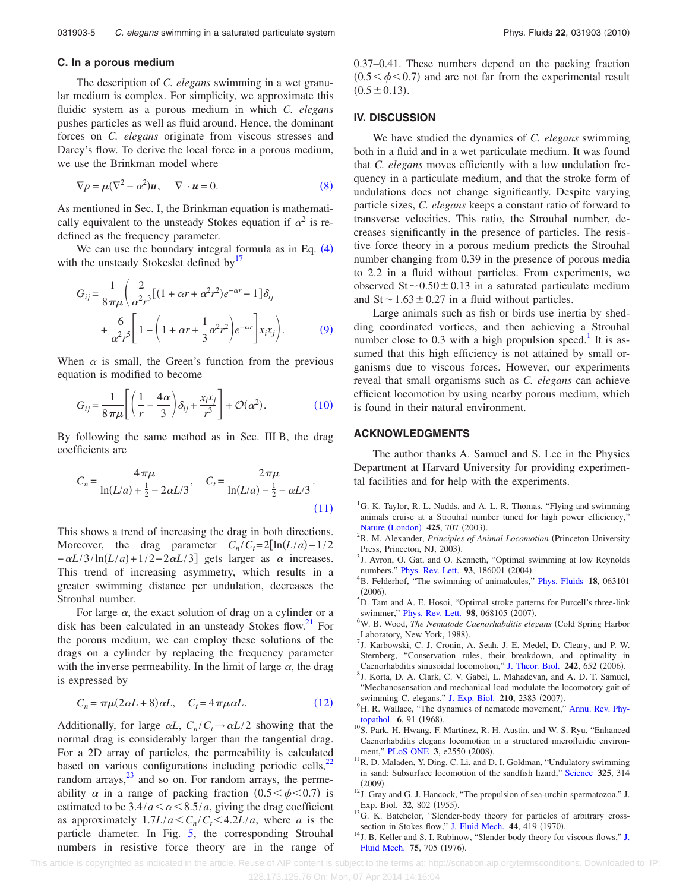# **C. In a porous medium**

The description of *C. elegans* swimming in a wet granular medium is complex. For simplicity, we approximate this fluidic system as a porous medium in which *C. elegans* pushes particles as well as fluid around. Hence, the dominant forces on *C. elegans* originate from viscous stresses and Darcy's flow. To derive the local force in a porous medium, we use the Brinkman model where

<span id="page-5-13"></span>
$$
\nabla p = \mu (\nabla^2 - \alpha^2) \mathbf{u}, \quad \nabla \cdot \mathbf{u} = 0.
$$
 (8)

As mentioned in Sec. I, the Brinkman equation is mathematically equivalent to the unsteady Stokes equation if  $\alpha^2$  is redefined as the frequency parameter.

We can use the boundary integral formula as in Eq.  $(4)$  $(4)$  $(4)$ with the unsteady Stokeslet defined by<sup>17</sup>

<span id="page-5-14"></span>
$$
G_{ij} = \frac{1}{8\pi\mu} \left( \frac{2}{\alpha^2 r^3} \left[ (1 + \alpha r + \alpha^2 r^2) e^{-\alpha r} - 1 \right] \delta_{ij} + \frac{6}{\alpha^2 r^5} \left[ 1 - \left( 1 + \alpha r + \frac{1}{3} \alpha^2 r^2 \right) e^{-\alpha r} \right] x_i x_j \right). \tag{9}
$$

When  $\alpha$  is small, the Green's function from the previous equation is modified to become

<span id="page-5-15"></span>
$$
G_{ij} = \frac{1}{8\pi\mu} \left[ \left( \frac{1}{r} - \frac{4\alpha}{3} \right) \delta_{ij} + \frac{x_i x_j}{r^3} \right] + \mathcal{O}(\alpha^2). \tag{10}
$$

By following the same method as in Sec. III B, the drag coefficients are

<span id="page-5-16"></span>
$$
C_n = \frac{4\pi\mu}{\ln(L/a) + \frac{1}{2} - 2\alpha L/3}, \quad C_t = \frac{2\pi\mu}{\ln(L/a) - \frac{1}{2} - \alpha L/3}.
$$
\n(11)

This shows a trend of increasing the drag in both directions. Moreover, the drag parameter  $C_n/C_t = 2[\ln(L/a) - 1/2]$  $-\alpha L/3/\ln(L/a) + 1/2 - 2\alpha L/3$ ] gets larger as  $\alpha$  increases. This trend of increasing asymmetry, which results in a greater swimming distance per undulation, decreases the Strouhal number.

For large  $\alpha$ , the exact solution of drag on a cylinder or a disk has been calculated in an unsteady Stokes flow. $21$  For the porous medium, we can employ these solutions of the drags on a cylinder by replacing the frequency parameter with the inverse permeability. In the limit of large  $\alpha$ , the drag is expressed by

$$
C_n = \pi \mu (2\alpha L + 8)\alpha L, \quad C_t = 4\pi \mu \alpha L. \tag{12}
$$

<span id="page-5-17"></span>Additionally, for large  $\alpha L$ ,  $C_n/C_t \rightarrow \alpha L/2$  showing that the normal drag is considerably larger than the tangential drag. For a 2D array of particles, the permeability is calculated based on various configurations including periodic cells, $^{22}$ random arrays, $^{23}$  and so on. For random arrays, the permeability  $\alpha$  in a range of packing fraction  $(0.5 < \phi < 0.7)$  is estimated to be  $3.4/a < \alpha < 8.5/a$ , giving the drag coefficient as approximately  $1.7L/a < C_n/C_t < 4.2L/a$ , where *a* is the particle diameter. In Fig. [5,](#page-4-0) the corresponding Strouhal numbers in resistive force theory are in the range of 0.37–0.41. These numbers depend on the packing fraction  $(0.5 < \phi < 0.7)$  and are not far from the experimental result  $(0.5 \pm 0.13).$ 

# **IV. DISCUSSION**

We have studied the dynamics of *C. elegans* swimming both in a fluid and in a wet particulate medium. It was found that *C. elegans* moves efficiently with a low undulation frequency in a particulate medium, and that the stroke form of undulations does not change significantly. Despite varying particle sizes, *C. elegans* keeps a constant ratio of forward to transverse velocities. This ratio, the Strouhal number, decreases significantly in the presence of particles. The resistive force theory in a porous medium predicts the Strouhal number changing from 0.39 in the presence of porous media to 2.2 in a fluid without particles. From experiments, we observed  $St \sim 0.50 \pm 0.13$  in a saturated particulate medium and  $St \sim 1.63 \pm 0.27$  in a fluid without particles.

Large animals such as fish or birds use inertia by shedding coordinated vortices, and then achieving a Strouhal number close to  $0.3$  with a high propulsion speed.<sup>1</sup> It is assumed that this high efficiency is not attained by small organisms due to viscous forces. However, our experiments reveal that small organisms such as *C. elegans* can achieve efficient locomotion by using nearby porous medium, which is found in their natural environment.

# **ACKNOWLEDGMENTS**

The author thanks A. Samuel and S. Lee in the Physics Department at Harvard University for providing experimental facilities and for help with the experiments.

- <span id="page-5-0"></span><sup>1</sup>G. K. Taylor, R. L. Nudds, and A. L. R. Thomas, "Flying and swimming animals cruise at a Strouhal number tuned for high power efficiency," Nature ([London](http://dx.doi.org/10.1038/nature02000))  $425$ , 707 (2003).
- <span id="page-5-1"></span><sup>2</sup>R. M. Alexander, *Principles of Animal Locomotion* (Princeton University Press, Princeton, NJ, 2003).
- <span id="page-5-2"></span><sup>3</sup>J. Avron, O. Gat, and O. Kenneth, "Optimal swimming at low Reynolds numbers," [Phys. Rev. Lett.](http://dx.doi.org/10.1103/PhysRevLett.93.186001)  $93$ , 186001 (2004).
- B. Felderhof, "The swimming of animalcules," [Phys. Fluids](http://dx.doi.org/10.1063/1.2204633) **18**, 063101  $(2006)$ .
- <span id="page-5-3"></span>D. Tam and A. E. Hosoi, "Optimal stroke patterns for Purcell's three-link swimmer," [Phys. Rev. Lett.](http://dx.doi.org/10.1103/PhysRevLett.98.068105) **98**, 068105 (2007).
- <span id="page-5-4"></span><sup>6</sup>W. B. Wood, *The Nematode Caenorhabditis elegans* (Cold Spring Harbor Laboratory, New York, 1988).
- <span id="page-5-5"></span> $<sup>7</sup>$ J. Karbowski, C. J. Cronin, A. Seah, J. E. Medel, D. Cleary, and P. W.</sup> Sternberg, "Conservation rules, their breakdown, and optimality in Caenorhabditis sinusoidal locomotion," [J. Theor. Biol.](http://dx.doi.org/10.1016/j.jtbi.2006.04.012) **242**, 652 (2006).
- <span id="page-5-6"></span>J. Korta, D. A. Clark, C. V. Gabel, L. Mahadevan, and A. D. T. Samuel, "Mechanosensation and mechanical load modulate the locomotory gait of swimming C. elegans," [J. Exp. Biol.](http://dx.doi.org/10.1242/jeb.004572)  $210$ , 2383 (2007).
- <span id="page-5-7"></span><sup>9</sup>H. R. Wallace, "The dynamics of nematode movement," [Annu. Rev. Phy](http://dx.doi.org/10.1146/annurev.py.06.090168.000515)**[topathol.](http://dx.doi.org/10.1146/annurev.py.06.090168.000515) 6**, 91 (1968).
- <span id="page-5-8"></span><sup>10</sup>S. Park, H. Hwang, F. Martinez, R. H. Austin, and W. S. Ryu, "Enhanced Caenorhabditis elegans locomotion in a structured microfluidic environ-ment," [PLoS ONE](http://dx.doi.org/10.1371/journal.pone.0002550) 3, e2550 (2008).
- <span id="page-5-9"></span> $11$ R. D. Maladen, Y. Ding, C. Li, and D. I. Goldman, "Undulatory swimming in sand: Subsurface locomotion of the sandfish lizard," [Science](http://dx.doi.org/10.1126/science.1172490) **325**, 314  $(2009)$
- <span id="page-5-10"></span> $^{12}$ J. Gray and G. J. Hancock, "The propulsion of sea-urchin spermatozoa," J. Exp. Biol. 32, 802 (1955).
- <span id="page-5-11"></span><sup>13</sup>G. K. Batchelor, "Slender-body theory for particles of arbitrary cross-section in Stokes flow," [J. Fluid Mech.](http://dx.doi.org/10.1017/S002211207000191X) 44, 419 (1970).
- <span id="page-5-12"></span><sup>14</sup>[J.](http://dx.doi.org/10.1017/S0022112076000475) B. Keller and S. I. Rubinow, "Slender body theory for viscous flows," J. [Fluid Mech.](http://dx.doi.org/10.1017/S0022112076000475) 75, 705 (1976).